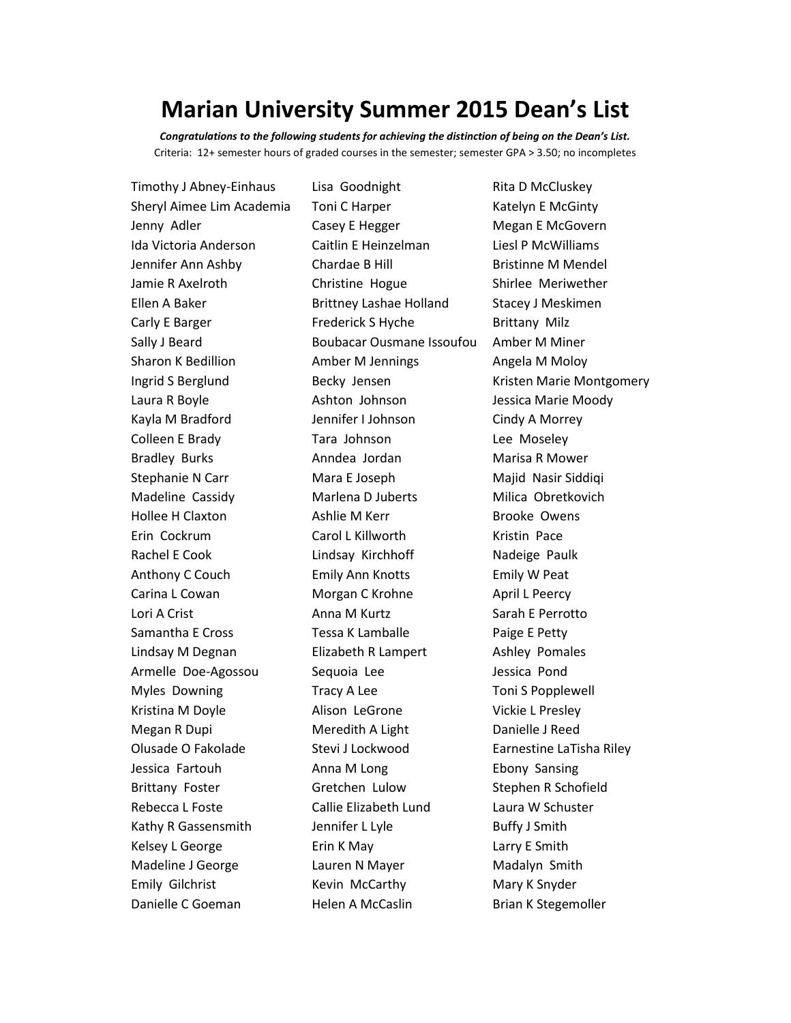## **Marian University Summer 2015 Dean's List**

*Congratulations to the following students for achieving the distinction of being on the Dean's List.* Criteria: 12+ semester hours of graded courses in the semester; semester GPA > 3.50; no incompletes

Timothy J Abney-Einhaus Lisa Goodnight Rita D McCluskey Sheryl Aimee Lim Academia Toni C Harper Katelyn E McGinty Jenny Adler **Casey E Hegger** Megan E McGovern Ida Victoria Anderson Caitlin E Heinzelman Liesl P McWilliams Jennifer Ann Ashby Chardae B Hill Bristinne M Mendel Jamie R Axelroth Christine Hogue Shirlee Meriwether Ellen A Baker **Brittney Lashae Holland** Stacey J Meskimen Carly E Barger Frederick S Hyche Brittany Milz Sally J Beard **Boubacar Ousmane Issoufou** Amber M Miner Sharon K Bedillion **Amber M Jennings** Angela M Moloy Laura R Boyle **Ashton Johnson** Jessica Marie Moody Kayla M Bradford **Inter Johnson** Cindy A Morrey Colleen E Brady Tara Johnson Lee Moseley Bradley Burks **Anndea Jordan** Marisa R Mower Stephanie N Carr Mara E Joseph Majid Nasir Siddiqi Madeline Cassidy Marlena D Juberts Milica Obretkovich Hollee H Claxton **Ashlie M Kerr** Brooke Owens Erin Cockrum Carol L Killworth Kristin Pace Rachel E Cook Lindsay Kirchhoff Nadeige Paulk Anthony C Couch Emily Ann Knotts Emily W Peat Carina L Cowan Morgan C Krohne April L Peercy Lori A Crist **Anna M Kurtz Anna M Kurtz** Sarah E Perrotto Samantha E Cross **Tessa K Lamballe** Paige E Petty Lindsay M Degnan **Elizabeth R Lampert** Ashley Pomales Armelle Doe-Agossou Sequoia Lee **Sexetage Sexetage Sexetage Sexetage Sexetage Sexetage Sexetage Sexetage Sexeta** Myles Downing Tracy A Lee Toni S Popplewell Kristina M Doyle **Alison LeGrone** Vickie L Presley Megan R Dupi Meredith A Light Danielle J Reed Olusade O Fakolade Stevi J Lockwood Earnestine LaTisha Riley Jessica Fartouh **Anna M Long** Ebony Sansing Brittany Foster Gretchen Lulow Stephen R Schofield Rebecca L Foste Callie Elizabeth Lund Laura W Schuster Kathy R Gassensmith Jennifer L Lyle Buffy J Smith Kelsey L George **Erin K May Example 20 Find Contact Contact A Larry E Smith** Madeline J George **Lauren N Mayer** Madalyn Smith Emily Gilchrist **Kevin McCarthy** Mary K Snyder Danielle C Goeman **Helen A McCaslin** Brian K Stegemoller

Ingrid S Berglund **Becky Jensen** Kristen Marie Montgomery